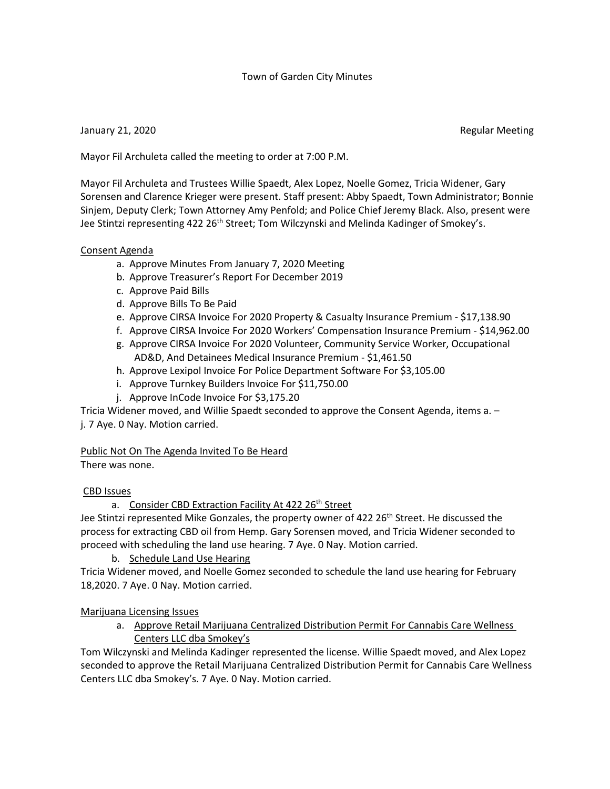### Town of Garden City Minutes

### January 21, 2020 **Regular Meeting**

Mayor Fil Archuleta called the meeting to order at 7:00 P.M.

Mayor Fil Archuleta and Trustees Willie Spaedt, Alex Lopez, Noelle Gomez, Tricia Widener, Gary Sorensen and Clarence Krieger were present. Staff present: Abby Spaedt, Town Administrator; Bonnie Sinjem, Deputy Clerk; Town Attorney Amy Penfold; and Police Chief Jeremy Black. Also, present were Jee Stintzi representing 422 26<sup>th</sup> Street; Tom Wilczynski and Melinda Kadinger of Smokey's.

### Consent Agenda

- a. Approve Minutes From January 7, 2020 Meeting
- b. Approve Treasurer's Report For December 2019
- c. Approve Paid Bills
- d. Approve Bills To Be Paid
- e. Approve CIRSA Invoice For 2020 Property & Casualty Insurance Premium \$17,138.90
- f. Approve CIRSA Invoice For 2020 Workers' Compensation Insurance Premium \$14,962.00
- g. Approve CIRSA Invoice For 2020 Volunteer, Community Service Worker, Occupational AD&D, And Detainees Medical Insurance Premium - \$1,461.50
- h. Approve Lexipol Invoice For Police Department Software For \$3,105.00
- i. Approve Turnkey Builders Invoice For \$11,750.00
- j. Approve InCode Invoice For \$3,175.20

Tricia Widener moved, and Willie Spaedt seconded to approve the Consent Agenda, items a. – j. 7 Aye. 0 Nay. Motion carried.

### Public Not On The Agenda Invited To Be Heard

There was none.

### CBD Issues

a. Consider CBD Extraction Facility At 422 26th Street

Jee Stintzi represented Mike Gonzales, the property owner of 422 26<sup>th</sup> Street. He discussed the process for extracting CBD oil from Hemp. Gary Sorensen moved, and Tricia Widener seconded to proceed with scheduling the land use hearing. 7 Aye. 0 Nay. Motion carried.

b. Schedule Land Use Hearing

Tricia Widener moved, and Noelle Gomez seconded to schedule the land use hearing for February 18,2020. 7 Aye. 0 Nay. Motion carried.

### Marijuana Licensing Issues

a. Approve Retail Marijuana Centralized Distribution Permit For Cannabis Care Wellness Centers LLC dba Smokey's

Tom Wilczynski and Melinda Kadinger represented the license. Willie Spaedt moved, and Alex Lopez seconded to approve the Retail Marijuana Centralized Distribution Permit for Cannabis Care Wellness Centers LLC dba Smokey's. 7 Aye. 0 Nay. Motion carried.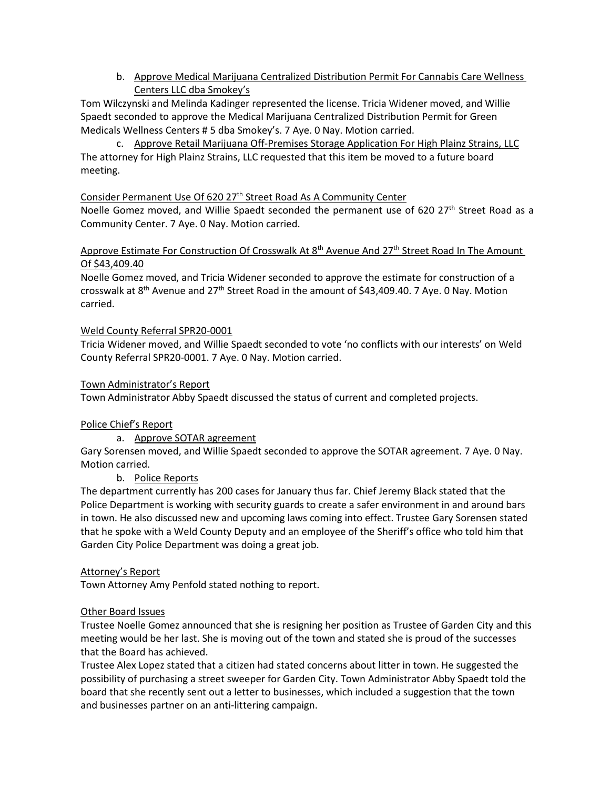b. Approve Medical Marijuana Centralized Distribution Permit For Cannabis Care Wellness Centers LLC dba Smokey's

Tom Wilczynski and Melinda Kadinger represented the license. Tricia Widener moved, and Willie Spaedt seconded to approve the Medical Marijuana Centralized Distribution Permit for Green Medicals Wellness Centers # 5 dba Smokey's. 7 Aye. 0 Nay. Motion carried.

c. Approve Retail Marijuana Off-Premises Storage Application For High Plainz Strains, LLC The attorney for High Plainz Strains, LLC requested that this item be moved to a future board meeting.

# Consider Permanent Use Of 620 27<sup>th</sup> Street Road As A Community Center

Noelle Gomez moved, and Willie Spaedt seconded the permanent use of 620 27<sup>th</sup> Street Road as a Community Center. 7 Aye. 0 Nay. Motion carried.

Approve Estimate For Construction Of Crosswalk At 8<sup>th</sup> Avenue And 27<sup>th</sup> Street Road In The Amount Of \$43,409.40

Noelle Gomez moved, and Tricia Widener seconded to approve the estimate for construction of a crosswalk at 8<sup>th</sup> Avenue and 27<sup>th</sup> Street Road in the amount of \$43,409.40. 7 Aye. 0 Nay. Motion carried.

### Weld County Referral SPR20-0001

Tricia Widener moved, and Willie Spaedt seconded to vote 'no conflicts with our interests' on Weld County Referral SPR20-0001. 7 Aye. 0 Nay. Motion carried.

### Town Administrator's Report

Town Administrator Abby Spaedt discussed the status of current and completed projects.

## Police Chief's Report

a. Approve SOTAR agreement

Gary Sorensen moved, and Willie Spaedt seconded to approve the SOTAR agreement. 7 Aye. 0 Nay. Motion carried.

### b. Police Reports

The department currently has 200 cases for January thus far. Chief Jeremy Black stated that the Police Department is working with security guards to create a safer environment in and around bars in town. He also discussed new and upcoming laws coming into effect. Trustee Gary Sorensen stated that he spoke with a Weld County Deputy and an employee of the Sheriff's office who told him that Garden City Police Department was doing a great job.

### Attorney's Report

Town Attorney Amy Penfold stated nothing to report.

### Other Board Issues

Trustee Noelle Gomez announced that she is resigning her position as Trustee of Garden City and this meeting would be her last. She is moving out of the town and stated she is proud of the successes that the Board has achieved.

Trustee Alex Lopez stated that a citizen had stated concerns about litter in town. He suggested the possibility of purchasing a street sweeper for Garden City. Town Administrator Abby Spaedt told the board that she recently sent out a letter to businesses, which included a suggestion that the town and businesses partner on an anti-littering campaign.